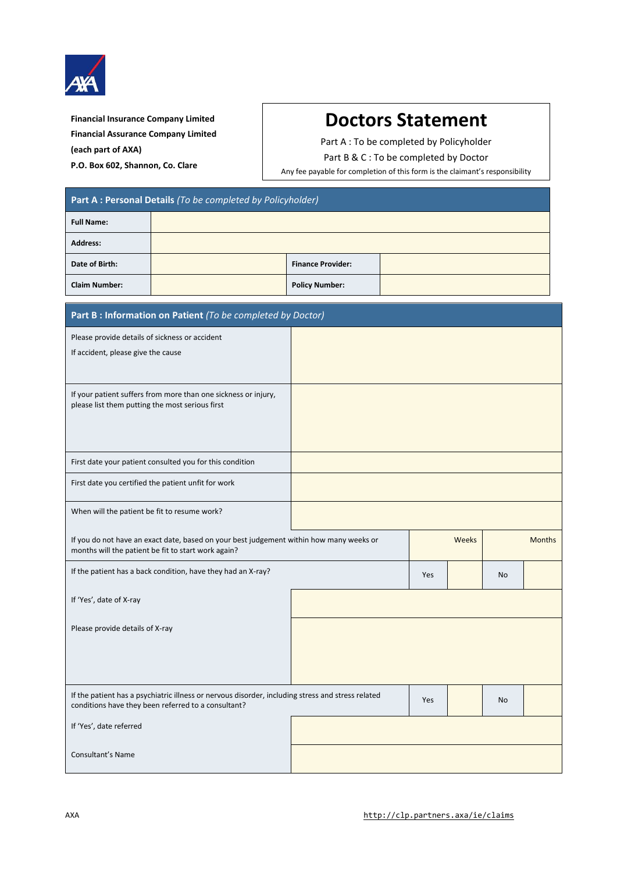

**Financial Insurance Company Limited Financial Assurance Company Limited (each part of AXA) P.O. Box 602, Shannon, Co. Clare**

## **Doctors Statement**

Part A : To be completed by Policyholder

Part B & C : To be completed by Doctor

Any fee payable for completion of this form is the claimant's responsibility

| Part A : Personal Details (To be completed by Policyholder)                                                       |                                                                                                   |                          |     |       |    |               |  |
|-------------------------------------------------------------------------------------------------------------------|---------------------------------------------------------------------------------------------------|--------------------------|-----|-------|----|---------------|--|
| <b>Full Name:</b>                                                                                                 |                                                                                                   |                          |     |       |    |               |  |
| <b>Address:</b>                                                                                                   |                                                                                                   |                          |     |       |    |               |  |
| Date of Birth:                                                                                                    |                                                                                                   | <b>Finance Provider:</b> |     |       |    |               |  |
| <b>Claim Number:</b>                                                                                              |                                                                                                   | <b>Policy Number:</b>    |     |       |    |               |  |
| Part B : Information on Patient (To be completed by Doctor)                                                       |                                                                                                   |                          |     |       |    |               |  |
| Please provide details of sickness or accident                                                                    |                                                                                                   |                          |     |       |    |               |  |
| If accident, please give the cause                                                                                |                                                                                                   |                          |     |       |    |               |  |
| If your patient suffers from more than one sickness or injury,<br>please list them putting the most serious first |                                                                                                   |                          |     |       |    |               |  |
| First date your patient consulted you for this condition                                                          |                                                                                                   |                          |     |       |    |               |  |
| First date you certified the patient unfit for work                                                               |                                                                                                   |                          |     |       |    |               |  |
| When will the patient be fit to resume work?                                                                      |                                                                                                   |                          |     |       |    |               |  |
| months will the patient be fit to start work again?                                                               | If you do not have an exact date, based on your best judgement within how many weeks or           |                          |     | Weeks |    | <b>Months</b> |  |
| If the patient has a back condition, have they had an X-ray?                                                      |                                                                                                   |                          | Yes |       | No |               |  |
| If 'Yes', date of X-ray                                                                                           |                                                                                                   |                          |     |       |    |               |  |
| Please provide details of X-ray                                                                                   |                                                                                                   |                          |     |       |    |               |  |
| conditions have they been referred to a consultant?                                                               | If the patient has a psychiatric illness or nervous disorder, including stress and stress related |                          | Yes |       | No |               |  |
| If 'Yes', date referred                                                                                           |                                                                                                   |                          |     |       |    |               |  |
| Consultant's Name                                                                                                 |                                                                                                   |                          |     |       |    |               |  |